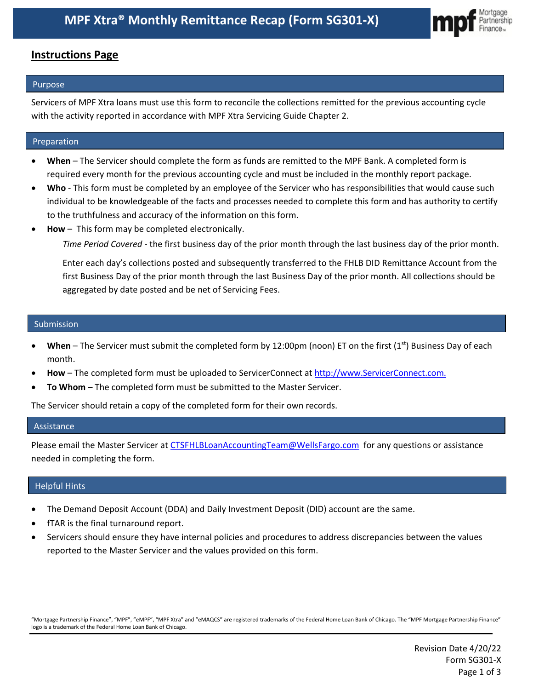

### **Instructions Page**

#### Purpose

Servicers of MPF Xtra loans must use this form to reconcile the collections remitted for the previous accounting cycle with the activity reported in accordance with MPF Xtra Servicing Guide Chapter 2.

#### Preparation

- **When**  The Servicer should complete the form as funds are remitted to the MPF Bank. A completed form is required every month for the previous accounting cycle and must be included in the monthly report package.
- **Who** This form must be completed by an employee of the Servicer who has responsibilities that would cause such individual to be knowledgeable of the facts and processes needed to complete this form and has authority to certify to the truthfulness and accuracy of the information on this form.
- **How** This form may be completed electronically.

*Time Period Covered -* the first business day of the prior month through the last business day of the prior month.

Enter each day's collections posted and subsequently transferred to the FHLB DID Remittance Account from the first Business Day of the prior month through the last Business Day of the prior month. All collections should be aggregated by date posted and be net of Servicing Fees.

#### Submission

- **When** The Servicer must submit the completed form by 12:00pm (noon) ET on the first (1<sup>st</sup>) Business Day of each month.
- **How** The completed form must be uploaded to ServicerConnect at http://www.ServicerConnect.com.
- **To Whom** The completed form must be submitted to the Master Servicer.

The Servicer should retain a copy of the completed form for their own records.

#### Assistance

Please email the Master Servicer at [CTSFHLBLoanAccountingTeam@WellsFargo.com](mailto:CTSFHLBLoanAccountingTeam@WellsFargo.com) for any questions or assistance needed in completing the form.

#### Helpful Hints

- The Demand Deposit Account (DDA) and Daily Investment Deposit (DID) account are the same.
- fTAR is the final turnaround report.
- Servicers should ensure they have internal policies and procedures to address discrepancies between the values reported to the Master Servicer and the values provided on this form.

"Mortgage Partnership Finance", "MPF", "eMPF", "MPF Xtra" and "eMAQCS" are registered trademarks of the Federal Home Loan Bank of Chicago. The "MPF Mortgage Partnership Finance" logo is a trademark of the Federal Home Loan Bank of Chicago.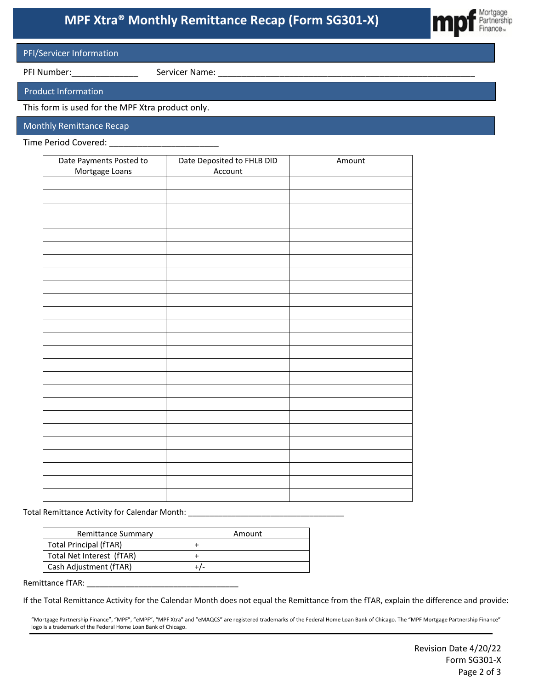# **MPF Xtra® Monthly Remittance Recap (Form SG301-X)**



#### PFI/Servicer Information

PFI Number:\_\_\_\_\_\_\_\_\_\_\_\_\_\_ Servicer Name: \_\_\_\_\_\_\_\_\_\_\_\_\_\_\_\_\_\_\_\_\_\_\_\_\_\_\_\_\_\_\_\_\_\_\_\_\_\_\_\_\_\_\_\_\_\_\_\_\_\_\_\_\_\_

Product Information

This form is used for the MPF Xtra product only.

Monthly Remittance Recap

Time Period Covered: \_\_\_\_\_\_\_\_\_\_\_\_\_\_\_\_\_\_\_\_\_\_\_

| Date Payments Posted to<br>Mortgage Loans | Date Deposited to FHLB DID<br>Account | Amount |
|-------------------------------------------|---------------------------------------|--------|
|                                           |                                       |        |
|                                           |                                       |        |
|                                           |                                       |        |
|                                           |                                       |        |
|                                           |                                       |        |
|                                           |                                       |        |
|                                           |                                       |        |
|                                           |                                       |        |
|                                           |                                       |        |
|                                           |                                       |        |
|                                           |                                       |        |
|                                           |                                       |        |
|                                           |                                       |        |
|                                           |                                       |        |
|                                           |                                       |        |
|                                           |                                       |        |
|                                           |                                       |        |
|                                           |                                       |        |
|                                           |                                       |        |
|                                           |                                       |        |
|                                           |                                       |        |
|                                           |                                       |        |
|                                           |                                       |        |
|                                           |                                       |        |
|                                           |                                       |        |

Total Remittance Activity for Calendar Month: \_\_\_\_\_\_\_\_\_\_\_\_\_\_\_\_\_\_\_\_\_\_\_\_\_\_\_\_\_\_\_\_\_\_\_\_

| <b>Remittance Summary</b> | Amount |
|---------------------------|--------|
| Total Principal (fTAR)    |        |
| Total Net Interest (fTAR) |        |
| Cash Adjustment (fTAR)    |        |

Remittance fTAR: \_\_\_\_\_

If the Total Remittance Activity for the Calendar Month does not equal the Remittance from the fTAR, explain the difference and provide:

"Mortgage Partnership Finance", "MPF", "eMPF", "MPF Xtra" and "eMAQCS" are registered trademarks of the Federal Home Loan Bank of Chicago. The "MPF Mortgage Partnership Finance" logo is a trademark of the Federal Home Loan Bank of Chicago.